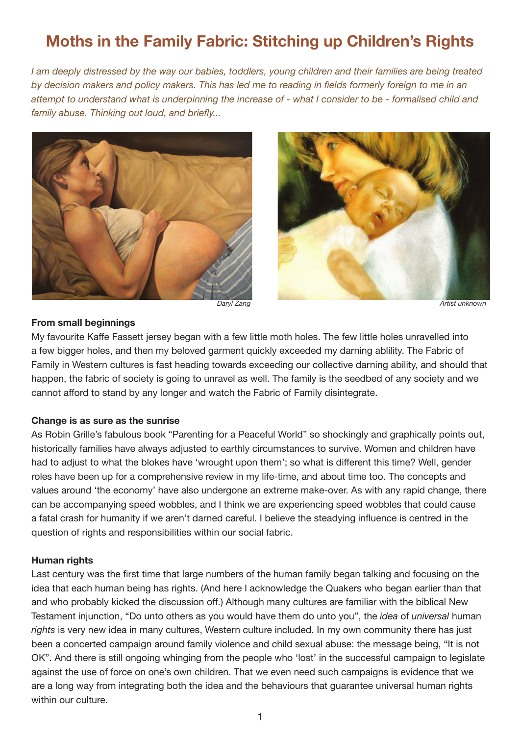# **Moths in the Family Fabric: Stitching up Children's Rights**

*I am deeply distressed by the way our babies, toddlers, young children and their families are being treated by decision makers and policy makers. This has led me to reading in fields formerly foreign to me in an attempt to understand what is underpinning the increase of - what I consider to be - formalised child and family abuse. Thinking out loud, and briefly...*





#### *Daryl Zang Artist unknown*

#### **From small beginnings**

My favourite Kaffe Fassett jersey began with a few little moth holes. The few little holes unravelled into a few bigger holes, and then my beloved garment quickly exceeded my darning ablility. The Fabric of Family in Western cultures is fast heading towards exceeding our collective darning ability, and should that happen, the fabric of society is going to unravel as well. The family is the seedbed of any society and we cannot afford to stand by any longer and watch the Fabric of Family disintegrate.

#### **Change is as sure as the sunrise**

As Robin Grille's fabulous book "Parenting for a Peaceful World" so shockingly and graphically points out, historically families have always adjusted to earthly circumstances to survive. Women and children have had to adjust to what the blokes have 'wrought upon them'; so what is different this time? Well, gender roles have been up for a comprehensive review in my life-time, and about time too. The concepts and values around 'the economy' have also undergone an extreme make-over. As with any rapid change, there can be accompanying speed wobbles, and I think we are experiencing speed wobbles that could cause a fatal crash for humanity if we aren't darned careful. I believe the steadying influence is centred in the question of rights and responsibilities within our social fabric.

#### **Human rights**

Last century was the first time that large numbers of the human family began talking and focusing on the idea that each human being has rights. (And here I acknowledge the Quakers who began earlier than that and who probably kicked the discussion off.) Although many cultures are familiar with the biblical New Testament injunction, "Do unto others as you would have them do unto you", the *idea* of *universal* human *rights* is very new idea in many cultures, Western culture included. In my own community there has just been a concerted campaign around family violence and child sexual abuse: the message being, "It is not OK". And there is still ongoing whinging from the people who 'lost' in the successful campaign to legislate against the use of force on one's own children. That we even need such campaigns is evidence that we are a long way from integrating both the idea and the behaviours that guarantee universal human rights within our culture.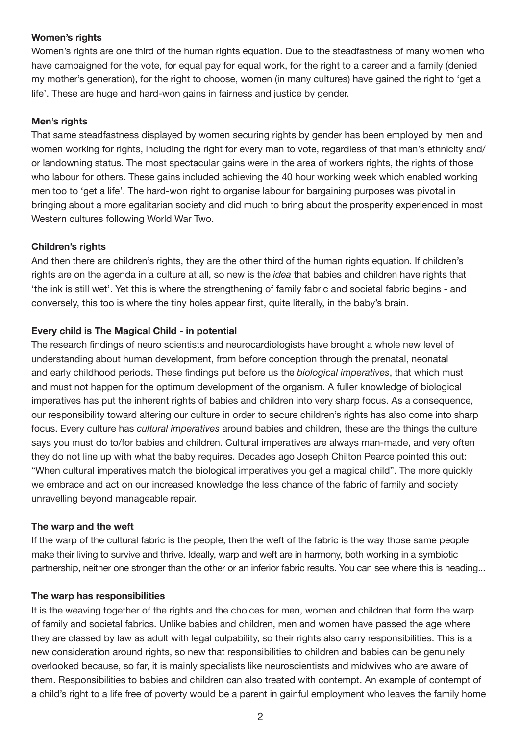## **Women's rights**

Women's rights are one third of the human rights equation. Due to the steadfastness of many women who have campaigned for the vote, for equal pay for equal work, for the right to a career and a family (denied my mother's generation), for the right to choose, women (in many cultures) have gained the right to 'get a life'. These are huge and hard-won gains in fairness and justice by gender.

#### **Men's rights**

That same steadfastness displayed by women securing rights by gender has been employed by men and women working for rights, including the right for every man to vote, regardless of that man's ethnicity and/ or landowning status. The most spectacular gains were in the area of workers rights, the rights of those who labour for others. These gains included achieving the 40 hour working week which enabled working men too to 'get a life'. The hard-won right to organise labour for bargaining purposes was pivotal in bringing about a more egalitarian society and did much to bring about the prosperity experienced in most Western cultures following World War Two.

#### **Children's rights**

And then there are children's rights, they are the other third of the human rights equation. If children's rights are on the agenda in a culture at all, so new is the *idea* that babies and children have rights that 'the ink is still wet'. Yet this is where the strengthening of family fabric and societal fabric begins - and conversely, this too is where the tiny holes appear first, quite literally, in the baby's brain.

## **Every child is The Magical Child - in potential**

The research findings of neuro scientists and neurocardiologists have brought a whole new level of understanding about human development, from before conception through the prenatal, neonatal and early childhood periods. These findings put before us the *biological imperatives*, that which must and must not happen for the optimum development of the organism. A fuller knowledge of biological imperatives has put the inherent rights of babies and children into very sharp focus. As a consequence, our responsibility toward altering our culture in order to secure children's rights has also come into sharp focus. Every culture has *cultural imperatives* around babies and children, these are the things the culture says you must do to/for babies and children. Cultural imperatives are always man-made, and very often they do not line up with what the baby requires. Decades ago Joseph Chilton Pearce pointed this out: "When cultural imperatives match the biological imperatives you get a magical child". The more quickly we embrace and act on our increased knowledge the less chance of the fabric of family and society unravelling beyond manageable repair.

#### **The warp and the weft**

If the warp of the cultural fabric is the people, then the weft of the fabric is the way those same people make their living to survive and thrive. Ideally, warp and weft are in harmony, both working in a symbiotic partnership, neither one stronger than the other or an inferior fabric results. You can see where this is heading...

#### **The warp has responsibilities**

It is the weaving together of the rights and the choices for men, women and children that form the warp of family and societal fabrics. Unlike babies and children, men and women have passed the age where they are classed by law as adult with legal culpability, so their rights also carry responsibilities. This is a new consideration around rights, so new that responsibilities to children and babies can be genuinely overlooked because, so far, it is mainly specialists like neuroscientists and midwives who are aware of them. Responsibilities to babies and children can also treated with contempt. An example of contempt of a child's right to a life free of poverty would be a parent in gainful employment who leaves the family home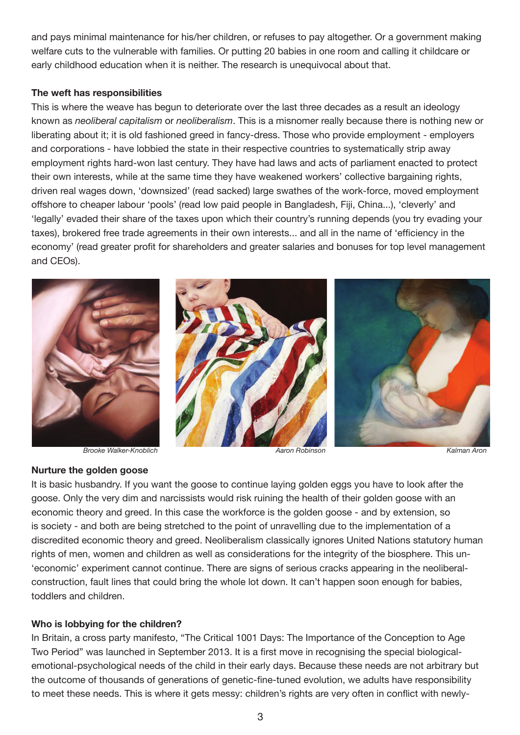and pays minimal maintenance for his/her children, or refuses to pay altogether. Or a government making welfare cuts to the vulnerable with families. Or putting 20 babies in one room and calling it childcare or early childhood education when it is neither. The research is unequivocal about that.

## **The weft has responsibilities**

This is where the weave has begun to deteriorate over the last three decades as a result an ideology known as *neoliberal capitalism* or *neoliberalism*. This is a misnomer really because there is nothing new or liberating about it; it is old fashioned greed in fancy-dress. Those who provide employment - employers and corporations - have lobbied the state in their respective countries to systematically strip away employment rights hard-won last century. They have had laws and acts of parliament enacted to protect their own interests, while at the same time they have weakened workers' collective bargaining rights, driven real wages down, 'downsized' (read sacked) large swathes of the work-force, moved employment offshore to cheaper labour 'pools' (read low paid people in Bangladesh, Fiji, China...), 'cleverly' and 'legally' evaded their share of the taxes upon which their country's running depends (you try evading your taxes), brokered free trade agreements in their own interests... and all in the name of 'efficiency in the economy' (read greater profit for shareholders and greater salaries and bonuses for top level management and CEOs).



#### **Nurture the golden goose**







It is basic husbandry. If you want the goose to continue laying golden eggs you have to look after the goose. Only the very dim and narcissists would risk ruining the health of their golden goose with an economic theory and greed. In this case the workforce is the golden goose - and by extension, so is society - and both are being stretched to the point of unravelling due to the implementation of a discredited economic theory and greed. Neoliberalism classically ignores United Nations statutory human rights of men, women and children as well as considerations for the integrity of the biosphere. This un- 'economic' experiment cannot continue. There are signs of serious cracks appearing in the neoliberalconstruction, fault lines that could bring the whole lot down. It can't happen soon enough for babies, toddlers and children.

## **Who is lobbying for the children?**

In Britain, a cross party manifesto, "The Critical 1001 Days: The Importance of the Conception to Age Two Period" was launched in September 2013. It is a first move in recognising the special biologicalemotional-psychological needs of the child in their early days. Because these needs are not arbitrary but the outcome of thousands of generations of genetic-fine-tuned evolution, we adults have responsibility to meet these needs. This is where it gets messy: children's rights are very often in conflict with newly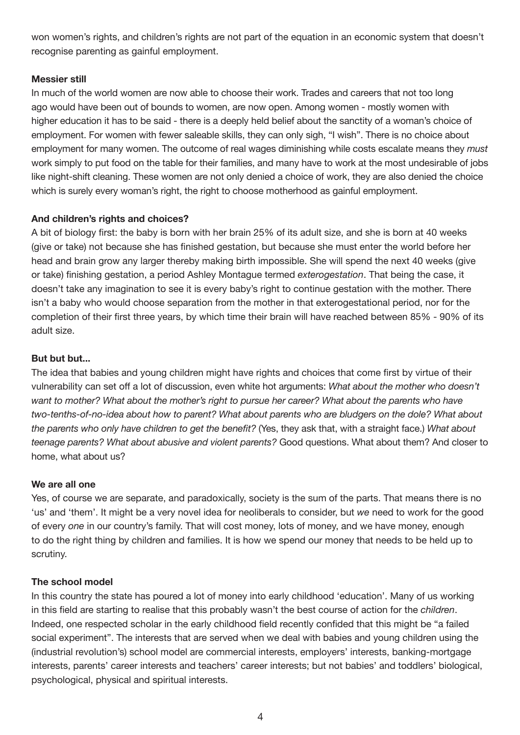won women's rights, and children's rights are not part of the equation in an economic system that doesn't recognise parenting as gainful employment.

## **Messier still**

In much of the world women are now able to choose their work. Trades and careers that not too long ago would have been out of bounds to women, are now open. Among women - mostly women with higher education it has to be said - there is a deeply held belief about the sanctity of a woman's choice of employment. For women with fewer saleable skills, they can only sigh, "I wish". There is no choice about employment for many women. The outcome of real wages diminishing while costs escalate means they *must*  work simply to put food on the table for their families, and many have to work at the most undesirable of jobs like night-shift cleaning. These women are not only denied a choice of work, they are also denied the choice which is surely every woman's right, the right to choose motherhood as gainful employment.

## **And children's rights and choices?**

A bit of biology first: the baby is born with her brain 25% of its adult size, and she is born at 40 weeks (give or take) not because she has finished gestation, but because she must enter the world before her head and brain grow any larger thereby making birth impossible. She will spend the next 40 weeks (give or take) finishing gestation, a period Ashley Montague termed *exterogestation*. That being the case, it doesn't take any imagination to see it is every baby's right to continue gestation with the mother. There isn't a baby who would choose separation from the mother in that exterogestational period, nor for the completion of their first three years, by which time their brain will have reached between 85% - 90% of its adult size.

## But but but...

The idea that babies and young children might have rights and choices that come first by virtue of their vulnerability can set off a lot of discussion, even white hot arguments: *What about the mother who doesn't want to mother? What about the mother's right to pursue her career? What about the parents who have two-tenths-of-no-idea about how to parent? What about parents who are bludgers on the dole? What about the parents who only have children to get the benefit?* (Yes, they ask that, with a straight face.) *What about teenage parents? What about abusive and violent parents?* Good questions. What about them? And closer to home, what about us?

#### **We are all one**

Yes, of course we are separate, and paradoxically, society is the sum of the parts. That means there is no 'us' and 'them'. It might be a very novel idea for neoliberals to consider, but *we* need to work for the good of every *one* in our country's family. That will cost money, lots of money, and we have money, enough to do the right thing by children and families. It is how we spend our money that needs to be held up to scrutiny.

#### **The school model**

In this country the state has poured a lot of money into early childhood 'education'. Many of us working in this field are starting to realise that this probably wasn't the best course of action for the *children*. Indeed, one respected scholar in the early childhood field recently confided that this might be "a failed social experiment". The interests that are served when we deal with babies and young children using the (industrial revolution's) school model are commercial interests, employers' interests, banking-mortgage interests, parents' career interests and teachers' career interests; but not babies' and toddlers' biological, psychological, physical and spiritual interests.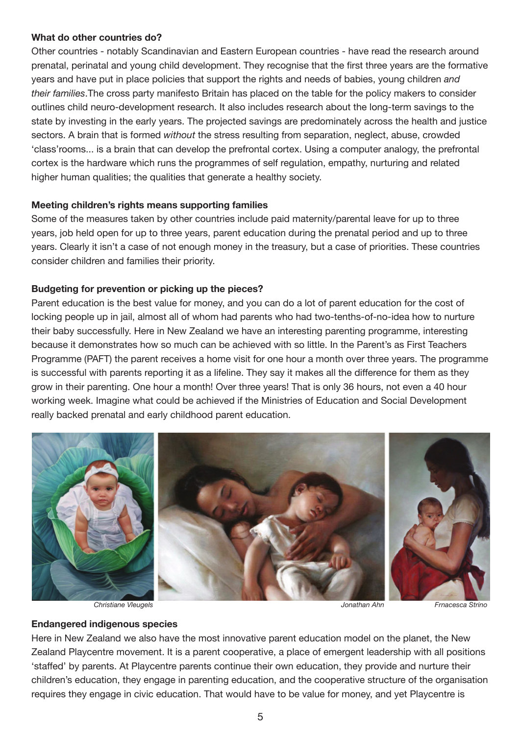#### **What do other countries do?**

Other countries - notably Scandinavian and Eastern European countries - have read the research around prenatal, perinatal and young child development. They recognise that the first three years are the formative years and have put in place policies that support the rights and needs of babies, young children *and their families*.The cross party manifesto Britain has placed on the table for the policy makers to consider outlines child neuro-development research. It also includes research about the long-term savings to the state by investing in the early years. The projected savings are predominately across the health and justice sectors. A brain that is formed *without* the stress resulting from separation, neglect, abuse, crowded 'class'rooms... is a brain that can develop the prefrontal cortex. Using a computer analogy, the prefrontal cortex is the hardware which runs the programmes of self regulation, empathy, nurturing and related higher human qualities; the qualities that generate a healthy society.

#### **Meeting children's rights means supporting families**

Some of the measures taken by other countries include paid maternity/parental leave for up to three years, job held open for up to three years, parent education during the prenatal period and up to three years. Clearly it isn't a case of not enough money in the treasury, but a case of priorities. These countries consider children and families their priority.

#### **Budgeting for prevention or picking up the pieces?**

Parent education is the best value for money, and you can do a lot of parent education for the cost of locking people up in jail, almost all of whom had parents who had two-tenths-of-no-idea how to nurture their baby successfully. Here in New Zealand we have an interesting parenting programme, interesting because it demonstrates how so much can be achieved with so little. In the Parent's as First Teachers Programme (PAFT) the parent receives a home visit for one hour a month over three years. The programme is successful with parents reporting it as a lifeline. They say it makes all the difference for them as they grow in their parenting. One hour a month! Over three years! That is only 36 hours, not even a 40 hour working week. Imagine what could be achieved if the Ministries of Education and Social Development really backed prenatal and early childhood parent education.



 *Christiane Vleugels Jonathan Ahn Frnacesca Strino*

#### **Endangered indigenous species**

Here in New Zealand we also have the most innovative parent education model on the planet, the New Zealand Playcentre movement. It is a parent cooperative, a place of emergent leadership with all positions 'staffed' by parents. At Playcentre parents continue their own education, they provide and nurture their children's education, they engage in parenting education, and the cooperative structure of the organisation requires they engage in civic education. That would have to be value for money, and yet Playcentre is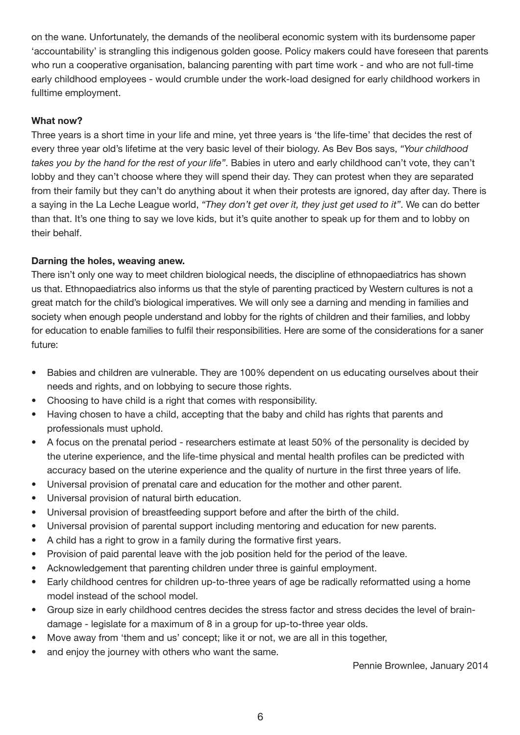on the wane. Unfortunately, the demands of the neoliberal economic system with its burdensome paper 'accountability' is strangling this indigenous golden goose. Policy makers could have foreseen that parents who run a cooperative organisation, balancing parenting with part time work - and who are not full-time early childhood employees - would crumble under the work-load designed for early childhood workers in fulltime employment.

## **What now?**

Three years is a short time in your life and mine, yet three years is 'the life-time' that decides the rest of every three year old's lifetime at the very basic level of their biology. As Bev Bos says, *"Your childhood takes you by the hand for the rest of your life"*. Babies in utero and early childhood can't vote, they can't lobby and they can't choose where they will spend their day. They can protest when they are separated from their family but they can't do anything about it when their protests are ignored, day after day. There is a saying in the La Leche League world, *"They don't get over it, they just get used to it"*. We can do better than that. It's one thing to say we love kids, but it's quite another to speak up for them and to lobby on their behalf.

## **Darning the holes, weaving anew.**

There isn't only one way to meet children biological needs, the discipline of ethnopaediatrics has shown us that. Ethnopaediatrics also informs us that the style of parenting practiced by Western cultures is not a great match for the child's biological imperatives. We will only see a darning and mending in families and society when enough people understand and lobby for the rights of children and their families, and lobby for education to enable families to fulfil their responsibilities. Here are some of the considerations for a saner future:

- Babies and children are vulnerable. They are 100% dependent on us educating ourselves about their needs and rights, and on lobbying to secure those rights.
- Choosing to have child is a right that comes with responsibility.
- Having chosen to have a child, accepting that the baby and child has rights that parents and professionals must uphold.
- A focus on the prenatal period researchers estimate at least 50% of the personality is decided by the uterine experience, and the life-time physical and mental health profiles can be predicted with accuracy based on the uterine experience and the quality of nurture in the first three years of life.
- Universal provision of prenatal care and education for the mother and other parent.
- Universal provision of natural birth education.
- Universal provision of breastfeeding support before and after the birth of the child.
- Universal provision of parental support including mentoring and education for new parents.
- A child has a right to grow in a family during the formative first years.
- Provision of paid parental leave with the job position held for the period of the leave.
- Acknowledgement that parenting children under three is gainful employment.
- Early childhood centres for children up-to-three years of age be radically reformatted using a home model instead of the school model.
- Group size in early childhood centres decides the stress factor and stress decides the level of braindamage - legislate for a maximum of 8 in a group for up-to-three year olds.
- Move away from 'them and us' concept; like it or not, we are all in this together,
- and enjoy the journey with others who want the same.